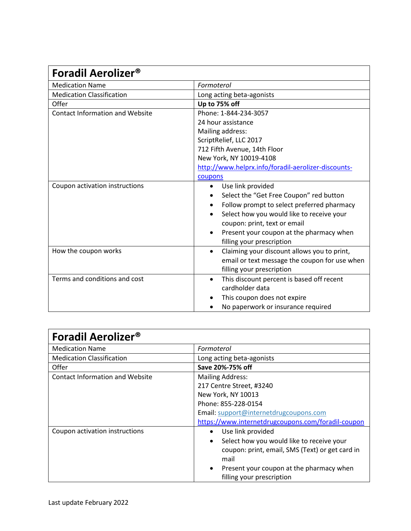| <b>Foradil Aerolizer®</b>              |                                                          |
|----------------------------------------|----------------------------------------------------------|
| <b>Medication Name</b>                 | Formoterol                                               |
| <b>Medication Classification</b>       | Long acting beta-agonists                                |
| Offer                                  | Up to 75% off                                            |
| <b>Contact Information and Website</b> | Phone: 1-844-234-3057                                    |
|                                        | 24 hour assistance                                       |
|                                        | Mailing address:                                         |
|                                        | ScriptRelief, LLC 2017                                   |
|                                        | 712 Fifth Avenue, 14th Floor                             |
|                                        | New York, NY 10019-4108                                  |
|                                        | http://www.helprx.info/foradil-aerolizer-discounts-      |
|                                        | coupons                                                  |
| Coupon activation instructions         | Use link provided<br>٠                                   |
|                                        | Select the "Get Free Coupon" red button                  |
|                                        | Follow prompt to select preferred pharmacy<br>٠          |
|                                        | Select how you would like to receive your                |
|                                        | coupon: print, text or email                             |
|                                        | Present your coupon at the pharmacy when                 |
|                                        | filling your prescription                                |
| How the coupon works                   | Claiming your discount allows you to print,<br>$\bullet$ |
|                                        | email or text message the coupon for use when            |
|                                        | filling your prescription                                |
| Terms and conditions and cost          | This discount percent is based off recent<br>$\bullet$   |
|                                        | cardholder data                                          |
|                                        | This coupon does not expire                              |
|                                        | No paperwork or insurance required                       |

| <b>Foradil Aerolizer®</b>              |                                                                                    |  |
|----------------------------------------|------------------------------------------------------------------------------------|--|
| <b>Medication Name</b>                 | Formoterol                                                                         |  |
| <b>Medication Classification</b>       | Long acting beta-agonists                                                          |  |
| Offer                                  | Save 20%-75% off                                                                   |  |
| <b>Contact Information and Website</b> | <b>Mailing Address:</b>                                                            |  |
|                                        | 217 Centre Street, #3240                                                           |  |
|                                        | New York, NY 10013                                                                 |  |
|                                        | Phone: 855-228-0154                                                                |  |
|                                        | Email: support@internetdrugcoupons.com                                             |  |
|                                        | https://www.internetdrugcoupons.com/foradil-coupon                                 |  |
| Coupon activation instructions         | Use link provided                                                                  |  |
|                                        | Select how you would like to receive your<br>$\bullet$                             |  |
|                                        | coupon: print, email, SMS (Text) or get card in<br>mail                            |  |
|                                        | Present your coupon at the pharmacy when<br>$\bullet$<br>filling your prescription |  |